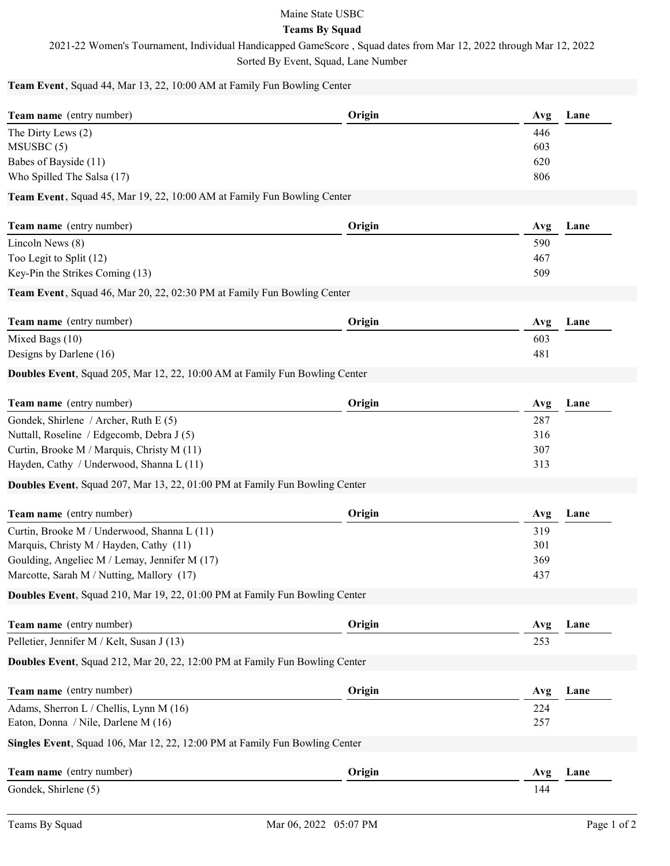## Maine State USBC

## Teams By Squad

2021-22 Women's Tournament, Individual Handicapped GameScore , Squad dates from Mar 12, 2022 through Mar 12, 2022

Sorted By Event, Squad, Lane Number

Team Event, Squad 44, Mar 13, 22, 10:00 AM at Family Fun Bowling Center

| Team name (entry number)                                                    | Origin | Avg | Lane |
|-----------------------------------------------------------------------------|--------|-----|------|
| The Dirty Lews (2)                                                          |        | 446 |      |
| MSUSBC(5)                                                                   |        | 603 |      |
| Babes of Bayside (11)                                                       |        | 620 |      |
| Who Spilled The Salsa (17)                                                  |        | 806 |      |
| Team Event, Squad 45, Mar 19, 22, 10:00 AM at Family Fun Bowling Center     |        |     |      |
| Team name (entry number)                                                    | Origin | Avg | Lane |
| Lincoln News (8)                                                            |        | 590 |      |
| Too Legit to Split (12)                                                     |        | 467 |      |
| Key-Pin the Strikes Coming (13)                                             |        | 509 |      |
| Team Event, Squad 46, Mar 20, 22, 02:30 PM at Family Fun Bowling Center     |        |     |      |
| Team name (entry number)                                                    | Origin | Avg | Lane |
| Mixed Bags (10)                                                             |        | 603 |      |
| Designs by Darlene (16)                                                     |        | 481 |      |
| Doubles Event, Squad 205, Mar 12, 22, 10:00 AM at Family Fun Bowling Center |        |     |      |
| Team name (entry number)                                                    | Origin | Avg | Lane |
| Gondek, Shirlene / Archer, Ruth E (5)                                       |        | 287 |      |
| Nuttall, Roseline / Edgecomb, Debra J (5)                                   |        | 316 |      |
| Curtin, Brooke M / Marquis, Christy M (11)                                  |        | 307 |      |
| Hayden, Cathy / Underwood, Shanna L (11)                                    |        | 313 |      |
| Doubles Event, Squad 207, Mar 13, 22, 01:00 PM at Family Fun Bowling Center |        |     |      |
| Team name (entry number)                                                    | Origin | Avg | Lane |
| Curtin, Brooke M / Underwood, Shanna L (11)                                 |        | 319 |      |
| Marquis, Christy M / Hayden, Cathy (11)                                     |        | 301 |      |
| Goulding, Angeliec M / Lemay, Jennifer M (17)                               |        | 369 |      |
| Marcotte, Sarah M / Nutting, Mallory (17)                                   |        | 437 |      |
| Doubles Event, Squad 210, Mar 19, 22, 01:00 PM at Family Fun Bowling Center |        |     |      |
|                                                                             |        |     |      |
| Team name (entry number)                                                    | Origin | Avg | Lane |
| Pelletier, Jennifer M / Kelt, Susan J (13)                                  |        | 253 |      |
| Doubles Event, Squad 212, Mar 20, 22, 12:00 PM at Family Fun Bowling Center |        |     |      |
| Team name (entry number)                                                    | Origin | Avg | Lane |
| Adams, Sherron L / Chellis, Lynn M (16)                                     |        | 224 |      |
| Eaton, Donna / Nile, Darlene M (16)                                         |        | 257 |      |
| Singles Event, Squad 106, Mar 12, 22, 12:00 PM at Family Fun Bowling Center |        |     |      |
| Team name (entry number)                                                    | Origin | Avg | Lane |
| Gondek, Shirlene (5)                                                        |        | 144 |      |